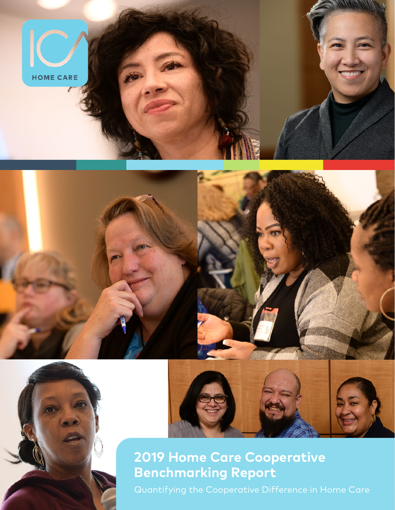



# **2019 Home Care Cooperative Benchmarking Report**

Quantifying the Cooperative Difference in Home Care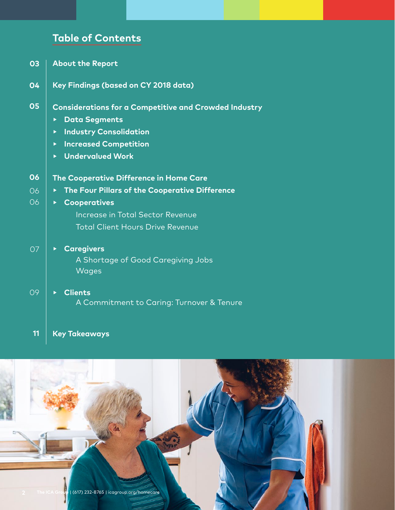# **Table of Contents**

- **About the Report 03**
- **Key Findings (based on CY 2018 data) 04**
- **Considerations for a Competitive and Crowded Industry 05**
	- **▸ Data Segments**
	- **▸ Industry Consolidation**
	- **▸ Increased Competition**
	- **▸ Undervalued Work**

| 06        | The Cooperative Difference in Home Care                                                                   |  |  |  |  |
|-----------|-----------------------------------------------------------------------------------------------------------|--|--|--|--|
| 06        | The Four Pillars of the Cooperative Difference<br>$\blacktriangleright$ .                                 |  |  |  |  |
| 06        | <b>Cooperatives</b><br><b>Increase in Total Sector Revenue</b><br><b>Total Client Hours Drive Revenue</b> |  |  |  |  |
| <b>O7</b> | <b>Caregivers</b><br>A Shortage of Good Caregiving Jobs<br><b>Wages</b>                                   |  |  |  |  |
| 09        | <b>Clients</b><br>A Commitment to Caring: Turnover & Tenure                                               |  |  |  |  |
| 11        | Key Takeaways                                                                                             |  |  |  |  |

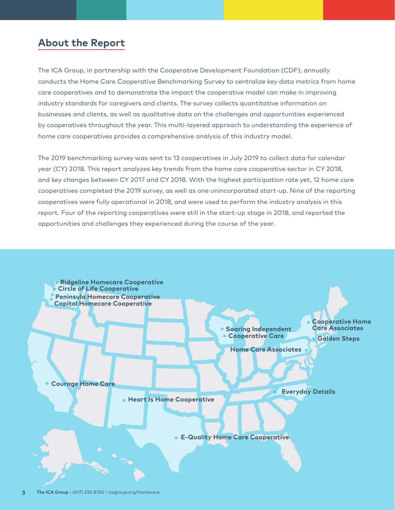# **About the Report**

The ICA Group, in partnership with the Cooperative Development Foundation (CDF), annually conducts the Home Care Cooperative Benchmarking Survey to centralize key data metrics from home care cooperatives and to demonstrate the impact the cooperative model can make in improving industry standards for caregivers and clients. The survey collects quantitative information on businesses and clients, as well as qualitative data on the challenges and opportunities experienced by cooperatives throughout the year. This multi-layered approach to understanding the experience of home care cooperatives provides a comprehensive analysis of this industry model.

The 2019 benchmarking survey was sent to 13 cooperatives in July 2019 to collect data for calendar year (CY) 2018. This report analyzes key trends from the home care cooperative sector in CY 2018, and key changes between CY 2017 and CY 2018. With the highest participation rate yet, 12 home care cooperatives completed the 2019 survey, as well as one unincorporated start-up. Nine of the reporting cooperatives were fully operational in 2018, and were used to perform the industry analysis in this report. Four of the reporting cooperatives were still in the start-up stage in 2018, and reported the opportunities and challenges they experienced during the course of the year.



**3 The ICA Group** | (617) 232-8765 | icagroup.org/homecare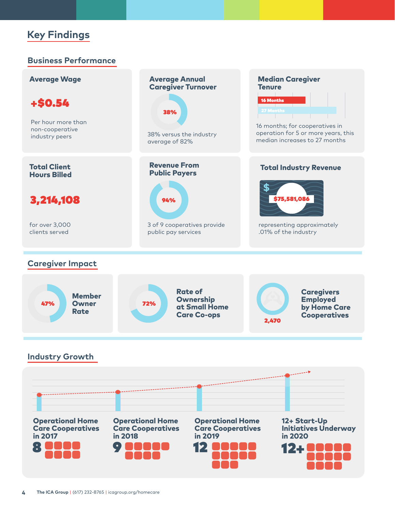# **Key Findings**

### **Business Performance**

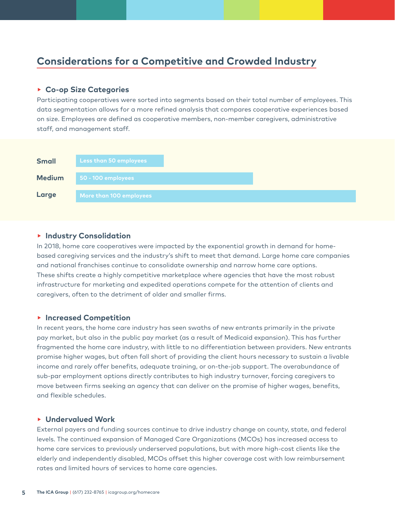# **Considerations for a Competitive and Crowded Industry**

#### **▸ Co-op Size Categories**

Participating cooperatives were sorted into segments based on their total number of employees. This data segmentation allows for a more refined analysis that compares cooperative experiences based on size. Employees are defined as cooperative members, non-member caregivers, administrative staff, and management staff.



#### **▸ Industry Consolidation**

In 2018, home care cooperatives were impacted by the exponential growth in demand for homebased caregiving services and the industry's shift to meet that demand. Large home care companies and national franchises continue to consolidate ownership and narrow home care options. These shifts create a highly competitive marketplace where agencies that have the most robust infrastructure for marketing and expedited operations compete for the attention of clients and caregivers, often to the detriment of older and smaller firms.

#### **▸ Increased Competition**

In recent years, the home care industry has seen swaths of new entrants primarily in the private pay market, but also in the public pay market (as a result of Medicaid expansion). This has further fragmented the home care industry, with little to no differentiation between providers. New entrants promise higher wages, but often fall short of providing the client hours necessary to sustain a livable income and rarely offer benefits, adequate training, or on-the-job support. The overabundance of sub-par employment options directly contributes to high industry turnover, forcing caregivers to move between firms seeking an agency that can deliver on the promise of higher wages, benefits, and flexible schedules.

### **▸ Undervalued Work**

External payers and funding sources continue to drive industry change on county, state, and federal levels. The continued expansion of Managed Care Organizations (MCOs) has increased access to home care services to previously underserved populations, but with more high-cost clients like the elderly and independently disabled, MCOs offset this higher coverage cost with low reimbursement rates and limited hours of services to home care agencies.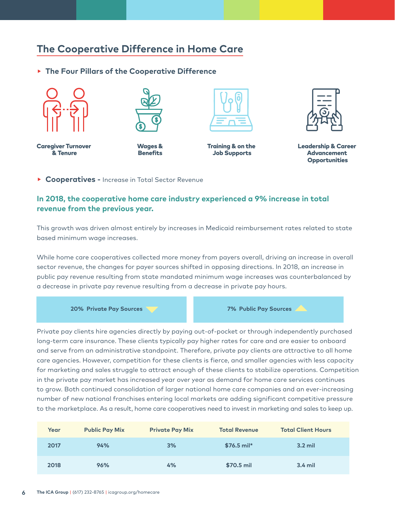# **The Cooperative Difference in Home Care**

**▸ The Four Pillars of the Cooperative Difference**



Caregiver Turnover & Tenure







Training & on the Job Supports



Leadership & Career Advancement **Opportunities** 

**▸ Cooperatives -** Increase in Total Sector Revenue

### **In 2018, the cooperative home care industry experienced a 9% increase in total revenue from the previous year.**

This growth was driven almost entirely by increases in Medicaid reimbursement rates related to state based minimum wage increases.

While home care cooperatives collected more money from payers overall, driving an increase in overall sector revenue, the changes for payer sources shifted in opposing directions. In 2018, an increase in public pay revenue resulting from state mandated minimum wage increases was counterbalanced by a decrease in private pay revenue resulting from a decrease in private pay hours.

**20% Private Pay Sources**

**7% Public Pay Sources**

Private pay clients hire agencies directly by paying out-of-pocket or through independently purchased long-term care insurance. These clients typically pay higher rates for care and are easier to onboard and serve from an administrative standpoint. Therefore, private pay clients are attractive to all home care agencies. However, competition for these clients is fierce, and smaller agencies with less capacity for marketing and sales struggle to attract enough of these clients to stabilize operations. Competition in the private pay market has increased year over year as demand for home care services continues to grow. Both continued consolidation of larger national home care companies and an ever-increasing number of new national franchises entering local markets are adding significant competitive pressure to the marketplace. As a result, home care cooperatives need to invest in marketing and sales to keep up.

| Year | <b>Public Pay Mix</b> | <b>Private Pay Mix</b> | <b>Total Revenue</b> | <b>Total Client Hours</b> |
|------|-----------------------|------------------------|----------------------|---------------------------|
| 2017 | 94%                   | 3%                     | $$76.5$ mil*         | $3.2$ mil                 |
| 2018 | 96%                   | 4%                     | \$70.5 mil           | $3.4$ mil                 |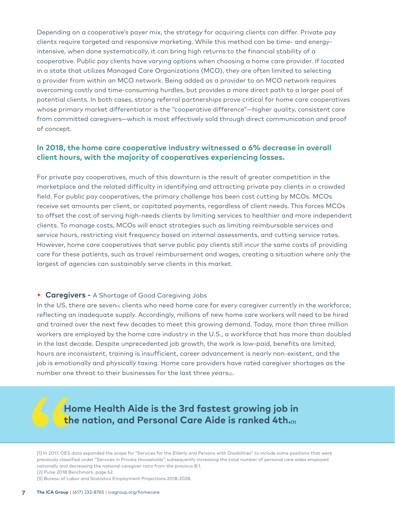Depending on a cooperative's payer mix, the strategy for acquiring clients can differ. Private pay clients require targeted and responsive marketing. While this method can be time- and energyintensive, when done systematically, it can bring high returns to the financial stability of a cooperative. Public pay clients have varying options when choosing a home care provider. If located in a state that utilizes Managed Care Organizations (MCO), they are often limited to selecting a provider from within an MCO network. Being added as a provider to an MCO network requires overcoming costly and time-consuming hurdles, but provides a more direct path to a larger pool of potential clients. In both cases, strong referral partnerships prove critical for home care cooperatives whose primary market differentiator is the "cooperative difference"—higher quality, consistent care from committed caregivers—which is most effectively sold through direct communication and proof of concept.

### **In 2018, the home care cooperative industry witnessed a 6% decrease in overall client hours, with the majority of cooperatives experiencing losses.**

For private pay cooperatives, much of this downturn is the result of greater competition in the marketplace and the related difficulty in identifying and attracting private pay clients in a crowded field. For public pay cooperatives, the primary challenge has been cost cutting by MCOs. MCOs receive set amounts per client, or capitated payments, regardless of client needs. This forces MCOs to offset the cost of serving high-needs clients by limiting services to healthier and more independent clients. To manage costs, MCOs will enact strategies such as limiting reimbursable services and service hours, restricting visit frequency based on internal assessments, and cutting service rates. However, home care cooperatives that serve public pay clients still incur the same costs of providing care for these patients, such as travel reimbursement and wages, creating a situation where only the largest of agencies can sustainably serve clients in this market.

#### **▸ Caregivers -** A Shortage of Good Caregiving Jobs

In the US, there are seven<sub>[1]</sub> clients who need home care for every caregiver currently in the workforce; reflecting an inadequate supply. Accordingly, millions of new home care workers will need to be hired and trained over the next few decades to meet this growing demand. Today, more than three million workers are employed by the home care industry in the U.S., a workforce that has more than doubled in the last decade. Despite unprecedented job growth, the work is low-paid, benefits are limited, hours are inconsistent, training is insufficient, career advancement is nearly non-existent, and the job is emotionally and physically taxing. Home care providers have rated caregiver shortages as the number one threat to their businesses for the last three years[2].

**Home Health Aide is the 3rd fastest growing job in the nation, and Personal Care Aide is ranked 4th.[3]**

[1] In 2017, OES data expanded the scope for "Services for the Elderly and Persons with Disabilities" to include some positions that were previously classified under "Services in Private Households", subsequently increasing the total number of personal care aides employed nationally and decreasing the national caregiver ratio from the previous 8:1. [2] Pulse 2018 Benchmark, page 62.

[3] Bureau of Labor and Statistics Employment Projections 2018-2028.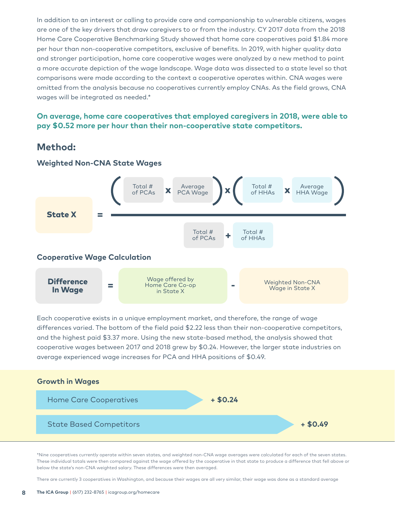In addition to an interest or calling to provide care and companionship to vulnerable citizens, wages are one of the key drivers that draw caregivers to or from the industry. CY 2017 data from the 2018 Home Care Cooperative Benchmarking Study showed that home care cooperatives paid \$1.84 more per hour than non-cooperative competitors, exclusive of benefits. In 2019, with higher quality data and stronger participation, home care cooperative wages were analyzed by a new method to paint a more accurate depiction of the wage landscape. Wage data was dissected to a state level so that comparisons were made according to the context a cooperative operates within. CNA wages were omitted from the analysis because no cooperatives currently employ CNAs. As the field grows, CNA wages will be integrated as needed.\*

### **On average, home care cooperatives that employed caregivers in 2018, were able to pay \$0.52 more per hour than their non-cooperative state competitors.**

## **Method:**



### **Weighted Non-CNA State Wages**

Each cooperative exists in a unique employment market, and therefore, the range of wage differences varied. The bottom of the field paid \$2.22 less than their non-cooperative competitors, and the highest paid \$3.37 more. Using the new state-based method, the analysis showed that cooperative wages between 2017 and 2018 grew by \$0.24. However, the larger state industries on average experienced wage increases for PCA and HHA positions of \$0.49.



\*Nine cooperatives currently operate within seven states, and weighted non-CNA wage averages were calculated for each of the seven states. These individual totals were then compared against the wage offered by the cooperative in that state to produce a difference that fell above or below the state's non-CNA weighted salary. These differences were then averaged.

There are currently 3 cooperatives in Washington, and because their wages are all very similar, their wage was done as a standard average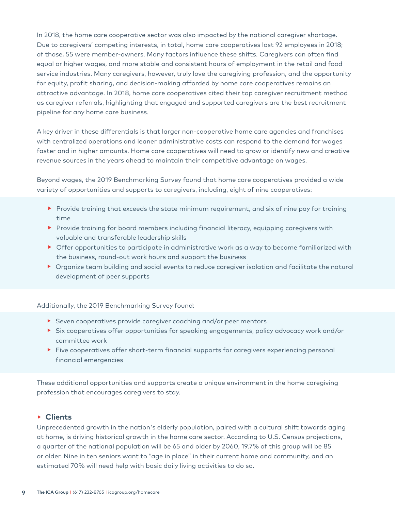In 2018, the home care cooperative sector was also impacted by the national caregiver shortage. Due to caregivers' competing interests, in total, home care cooperatives lost 92 employees in 2018; of those, 55 were member-owners. Many factors influence these shifts. Caregivers can often find equal or higher wages, and more stable and consistent hours of employment in the retail and food service industries. Many caregivers, however, truly love the caregiving profession, and the opportunity for equity, profit sharing, and decision-making afforded by home care cooperatives remains an attractive advantage. In 2018, home care cooperatives cited their top caregiver recruitment method as caregiver referrals, highlighting that engaged and supported caregivers are the best recruitment pipeline for any home care business.

A key driver in these differentials is that larger non-cooperative home care agencies and franchises with centralized operations and leaner administrative costs can respond to the demand for wages faster and in higher amounts. Home care cooperatives will need to grow or identify new and creative revenue sources in the years ahead to maintain their competitive advantage on wages.

Beyond wages, the 2019 Benchmarking Survey found that home care cooperatives provided a wide variety of opportunities and supports to caregivers, including, eight of nine cooperatives:

- ▶ Provide training that exceeds the state minimum requirement, and six of nine pay for training time
- **▸** Provide training for board members including financial literacy, equipping caregivers with valuable and transferable leadership skills
- **▸** Offer opportunities to participate in administrative work as a way to become familiarized with the business, round-out work hours and support the business
- **▸** Organize team building and social events to reduce caregiver isolation and facilitate the natural development of peer supports

Additionally, the 2019 Benchmarking Survey found:

- **▸** Seven cooperatives provide caregiver coaching and/or peer mentors
- **▸** Six cooperatives offer opportunities for speaking engagements, policy advocacy work and/or committee work
- ▶ Five cooperatives offer short-term financial supports for caregivers experiencing personal financial emergencies

These additional opportunities and supports create a unique environment in the home caregiving profession that encourages caregivers to stay.

#### **▸ Clients**

Unprecedented growth in the nation's elderly population, paired with a cultural shift towards aging at home, is driving historical growth in the home care sector. According to U.S. Census projections, a quarter of the national population will be 65 and older by 2060, 19.7% of this group will be 85 or older. Nine in ten seniors want to "age in place" in their current home and community, and an estimated 70% will need help with basic daily living activities to do so.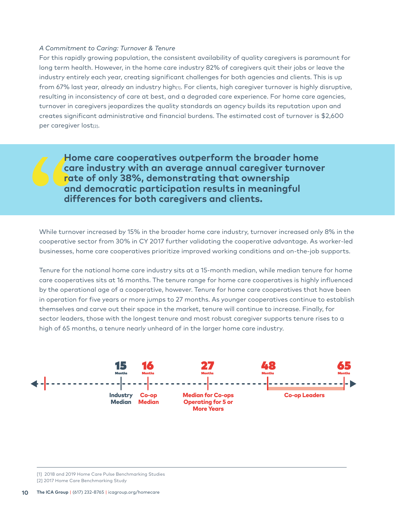#### *A Commitment to Caring: Turnover & Tenure*

For this rapidly growing population, the consistent availability of quality caregivers is paramount for long term health. However, in the home care industry 82% of caregivers quit their jobs or leave the industry entirely each year, creating significant challenges for both agencies and clients. This is up from 67% last year, already an industry high $m$ . For clients, high caregiver turnover is highly disruptive, resulting in inconsistency of care at best, and a degraded care experience. For home care agencies, turnover in caregivers jeopardizes the quality standards an agency builds its reputation upon and creates significant administrative and financial burdens. The estimated cost of turnover is \$2,600 per caregiver lost[2].

**Home care cooperatives outperform the broader home care industry with an average annual caregiver turnover rate of only 38%, demonstrating that ownership and democratic participation results in meaningful differences for both caregivers and clients.**

While turnover increased by 15% in the broader home care industry, turnover increased only 8% in the cooperative sector from 30% in CY 2017 further validating the cooperative advantage. As worker-led businesses, home care cooperatives prioritize improved working conditions and on-the-job supports.

Tenure for the national home care industry sits at a 15-month median, while median tenure for home care cooperatives sits at 16 months. The tenure range for home care cooperatives is highly influenced by the operational age of a cooperative, however. Tenure for home care cooperatives that have been in operation for five years or more jumps to 27 months. As younger cooperatives continue to establish themselves and carve out their space in the market, tenure will continue to increase. Finally, for sector leaders, those with the longest tenure and most robust caregiver supports tenure rises to a high of 65 months, a tenure nearly unheard of in the larger home care industry.



<sup>[1] 2018</sup> and 2019 Home Care Pulse Benchmarking Studies [2] 2017 Home Care Benchmarking Study